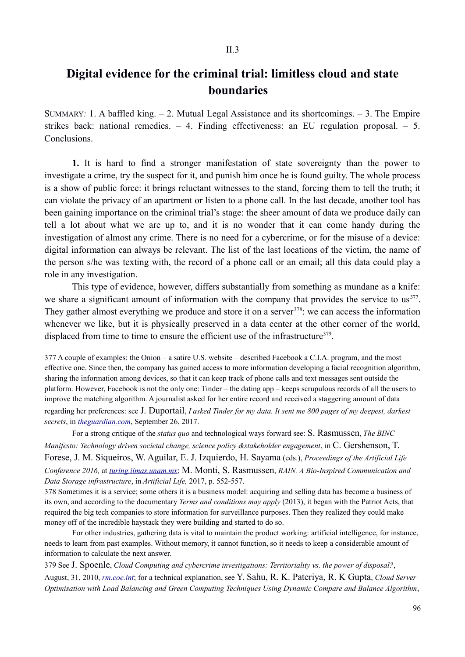## **Digital evidence for the criminal trial: limitless cloud and state boundaries**

SUMMARY*:* 1. A baffled king. – 2. Mutual Legal Assistance and its shortcomings. – 3. The Empire strikes back: national remedies. – 4. Finding effectiveness: an EU regulation proposal. – 5. **Conclusions** 

**1.** It is hard to find a stronger manifestation of state sovereignty than the power to investigate a crime, try the suspect for it, and punish him once he is found guilty. The whole process is a show of public force: it brings reluctant witnesses to the stand, forcing them to tell the truth; it can violate the privacy of an apartment or listen to a phone call. In the last decade, another tool has been gaining importance on the criminal trial's stage: the sheer amount of data we produce daily can tell a lot about what we are up to, and it is no wonder that it can come handy during the investigation of almost any crime. There is no need for a cybercrime, or for the misuse of a device: digital information can always be relevant. The list of the last locations of the victim, the name of the person s/he was texting with, the record of a phone call or an email; all this data could play a role in any investigation.

This type of evidence, however, differs substantially from something as mundane as a knife: we share a significant amount of information with the company that provides the service to us<sup>377</sup>. They gather almost everything we produce and store it on a server  $378$ : we can access the information whenever we like, but it is physically preserved in a data center at the other corner of the world, displaced from time to time to ensure the efficient use of the infrastructure $379$ .

377 A couple of examples: the Onion – a satire U.S. website – described Facebook a C.I.A. program, and the most effective one. Since then, the company has gained access to more information developing a facial recognition algorithm, sharing the information among devices, so that it can keep track of phone calls and text messages sent outside the platform. However, Facebook is not the only one: Tinder – the dating app – keeps scrupulous records of all the users to improve the matching algorithm. A journalist asked for her entire record and received a staggering amount of data regarding her preferences: see J. Duportail, *I asked Tinder for my data. It sent me 800 pages of my deepest, darkest secrets*, in *theguardian.com*, September 26, 2017.

For a strong critique of the *status quo* and technological ways forward see: S. Rasmussen, *The BINC Manifesto: Technology driven societal change, science policy &stakeholder engagement*, in C. Gershenson, T. Forese, J. M. Siqueiros, W. Aguilar, E. J. Izquierdo, H. Sayama (eds.), *Proceedings of the Artificial Life Conference 2016,* at *turing.iimas.unam.mx*; M. Monti, S. Rasmussen, *RAIN. A Bio-Inspired Communication and Data Storage infrastructure*, in *Artificial Life,* 2017, p. 552-557.

378 Sometimes it is a service; some others it is a business model: acquiring and selling data has become a business of its own, and according to the documentary *Terms and conditions may apply* (2013), it began with the Patriot Acts, that required the big tech companies to store information for surveillance purposes. Then they realized they could make money off of the incredible haystack they were building and started to do so.

For other industries, gathering data is vital to maintain the product working: artificial intelligence, for instance, needs to learn from past examples. Without memory, it cannot function, so it needs to keep a considerable amount of information to calculate the next answer.

379 See J. Spoenle, *Cloud Computing and cybercrime investigations: Territoriality vs. the power of disposal?*,

August, 31, 2010, *rm.coe.int*; for a technical explanation, see Y. Sahu, R. K. Pateriya, R. K Gupta, *Cloud Server Optimisation with Load Balancing and Green Computing Techniques Using Dynamic Compare and Balance Algorithm*,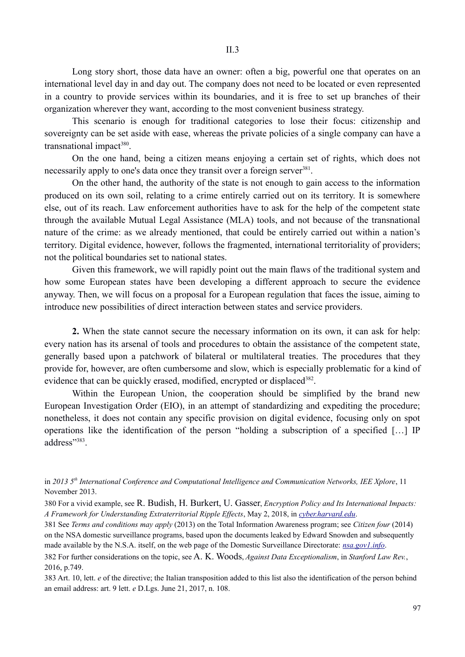Long story short, those data have an owner: often a big, powerful one that operates on an international level day in and day out. The company does not need to be located or even represented in a country to provide services within its boundaries, and it is free to set up branches of their organization wherever they want, according to the most convenient business strategy.

This scenario is enough for traditional categories to lose their focus: citizenship and sovereignty can be set aside with ease, whereas the private policies of a single company can have a transnational impact $380$ .

On the one hand, being a citizen means enjoying a certain set of rights, which does not necessarily apply to one's data once they transit over a foreign server<sup>381</sup>.

On the other hand, the authority of the state is not enough to gain access to the information produced on its own soil, relating to a crime entirely carried out on its territory. It is somewhere else, out of its reach. Law enforcement authorities have to ask for the help of the competent state through the available Mutual Legal Assistance (MLA) tools, and not because of the transnational nature of the crime: as we already mentioned, that could be entirely carried out within a nation's territory. Digital evidence, however, follows the fragmented, international territoriality of providers; not the political boundaries set to national states.

Given this framework, we will rapidly point out the main flaws of the traditional system and how some European states have been developing a different approach to secure the evidence anyway. Then, we will focus on a proposal for a European regulation that faces the issue, aiming to introduce new possibilities of direct interaction between states and service providers.

**2.** When the state cannot secure the necessary information on its own, it can ask for help: every nation has its arsenal of tools and procedures to obtain the assistance of the competent state, generally based upon a patchwork of bilateral or multilateral treaties. The procedures that they provide for, however, are often cumbersome and slow, which is especially problematic for a kind of evidence that can be quickly erased, modified, encrypted or displaced<sup>382</sup>.

Within the European Union, the cooperation should be simplified by the brand new European Investigation Order (EIO), in an attempt of standardizing and expediting the procedure; nonetheless, it does not contain any specific provision on digital evidence, focusing only on spot operations like the identification of the person "holding a subscription of a specified […] IP address"<sup>383</sup>.

in *2013 5th International Conference and Computational Intelligence and Communication Networks, IEE Xplore*, 11 November 2013.

380 For a vivid example, see R. Budish, H. Burkert, U. Gasser, *Encryption Policy and Its International Impacts: A Framework for Understanding Extraterritorial Ripple Effects*, May 2, 2018, in *cyber.harvard.edu*.

381 See *Terms and conditions may apply* (2013) on the Total Information Awareness program; see *Citizen four* (2014) on the NSA domestic surveillance programs, based upon the documents leaked by Edward Snowden and subsequently made available by the N.S.A. itself, on the web page of the Domestic Surveillance Directorate: *nsa.gov1.info*.

382 For further considerations on the topic, see A. K. Woods, *Against Data Exceptionalism*, in *Stanford Law Rev.*, 2016, p.749.

383 Art. 10, lett. *e* of the directive; the Italian transposition added to this list also the identification of the person behind an email address: art. 9 lett. *e* D.Lgs. June 21, 2017, n. 108.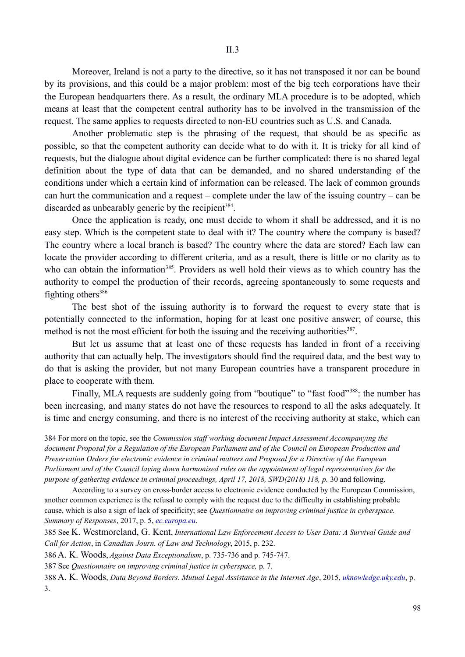Moreover, Ireland is not a party to the directive, so it has not transposed it nor can be bound by its provisions, and this could be a major problem: most of the big tech corporations have their the European headquarters there. As a result, the ordinary MLA procedure is to be adopted, which means at least that the competent central authority has to be involved in the transmission of the request. The same applies to requests directed to non-EU countries such as U.S. and Canada.

Another problematic step is the phrasing of the request, that should be as specific as possible, so that the competent authority can decide what to do with it. It is tricky for all kind of requests, but the dialogue about digital evidence can be further complicated: there is no shared legal definition about the type of data that can be demanded, and no shared understanding of the conditions under which a certain kind of information can be released. The lack of common grounds can hurt the communication and a request – complete under the law of the issuing country – can be discarded as unbearably generic by the recipient<sup>384</sup>.

Once the application is ready, one must decide to whom it shall be addressed, and it is no easy step. Which is the competent state to deal with it? The country where the company is based? The country where a local branch is based? The country where the data are stored? Each law can locate the provider according to different criteria, and as a result, there is little or no clarity as to who can obtain the information<sup>385</sup>. Providers as well hold their views as to which country has the authority to compel the production of their records, agreeing spontaneously to some requests and fighting others $386$ 

The best shot of the issuing authority is to forward the request to every state that is potentially connected to the information, hoping for at least one positive answer; of course, this method is not the most efficient for both the issuing and the receiving authorities<sup>387</sup>.

But let us assume that at least one of these requests has landed in front of a receiving authority that can actually help. The investigators should find the required data, and the best way to do that is asking the provider, but not many European countries have a transparent procedure in place to cooperate with them.

Finally, MLA requests are suddenly going from "boutique" to "fast food"<sup>388</sup>: the number has been increasing, and many states do not have the resources to respond to all the asks adequately. It is time and energy consuming, and there is no interest of the receiving authority at stake, which can

384 For more on the topic, see the *Commission staff working document Impact Assessment Accompanying the document Proposal for a Regulation of the European Parliament and of the Council on European Production and Preservation Orders for electronic evidence in criminal matters and Proposal for a Directive of the European Parliament and of the Council laying down harmonised rules on the appointment of legal representatives for the purpose of gathering evidence in criminal proceedings, April 17, 2018, SWD(2018) 118, p.* 30 and following.

According to a survey on cross-border access to electronic evidence conducted by the European Commission, another common experience is the refusal to comply with the request due to the difficulty in establishing probable cause, which is also a sign of lack of specificity; see *Questionnaire on improving criminal justice in cyberspace. Summary of Responses*, 2017, p. 5, *ec.europa.eu*.

385 See K. Westmoreland, G. Kent, *International Law Enforcement Access to User Data: A Survival Guide and Call for Action*, in *Canadian Journ. of Law and Technology*, 2015, p. 232.

386 A. K. Woods, *Against Data Exceptionalism*, p. 735-736 and p. 745-747.

387 See *Questionnaire on improving criminal justice in cyberspace,* p. 7.

388 A. K. Woods, *Data Beyond Borders. Mutual Legal Assistance in the Internet Age*, 2015, *uknowledge.uky.edu*, p. 3.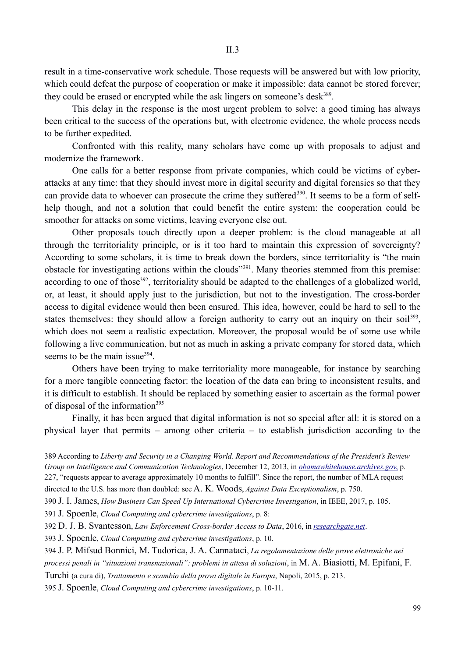result in a time-conservative work schedule. Those requests will be answered but with low priority, which could defeat the purpose of cooperation or make it impossible: data cannot be stored forever; they could be erased or encrypted while the ask lingers on someone's desk<sup>389</sup>.

This delay in the response is the most urgent problem to solve: a good timing has always been critical to the success of the operations but, with electronic evidence, the whole process needs to be further expedited.

Confronted with this reality, many scholars have come up with proposals to adjust and modernize the framework.

One calls for a better response from private companies, which could be victims of cyberattacks at any time: that they should invest more in digital security and digital forensics so that they can provide data to whoever can prosecute the crime they suffered<sup>390</sup>. It seems to be a form of selfhelp though, and not a solution that could benefit the entire system: the cooperation could be smoother for attacks on some victims, leaving everyone else out.

Other proposals touch directly upon a deeper problem: is the cloud manageable at all through the territoriality principle, or is it too hard to maintain this expression of sovereignty? According to some scholars, it is time to break down the borders, since territoriality is "the main obstacle for investigating actions within the clouds"391. Many theories stemmed from this premise: according to one of those<sup>392</sup>, territoriality should be adapted to the challenges of a globalized world, or, at least, it should apply just to the jurisdiction, but not to the investigation. The cross-border access to digital evidence would then been ensured. This idea, however, could be hard to sell to the states themselves: they should allow a foreign authority to carry out an inquiry on their soil<sup>393</sup>, which does not seem a realistic expectation. Moreover, the proposal would be of some use while following a live communication, but not as much in asking a private company for stored data, which seems to be the main issue<sup>394</sup>.

Others have been trying to make territoriality more manageable, for instance by searching for a more tangible connecting factor: the location of the data can bring to inconsistent results, and it is difficult to establish. It should be replaced by something easier to ascertain as the formal power of disposal of the information<sup>395</sup>

Finally, it has been argued that digital information is not so special after all: it is stored on a physical layer that permits – among other criteria – to establish jurisdiction according to the

389 According to *Liberty and Security in a Changing World. Report and Recommendations of the President's Review Group on Intelligence and Communication Technologies*, December 12, 2013, in *obamawhitehouse.archives.gov*, p. 227, "requests appear to average approximately 10 months to fulfill". Since the report, the number of MLA request

directed to the U.S. has more than doubled: see A. K. Woods, *Against Data Exceptionalism*, p. 750.

390 J. I. James, *How Business Can Speed Up International Cybercrime Investigation*, in IEEE, 2017, p. 105.

391 J. Spoenle, *Cloud Computing and cybercrime investigations*, p. 8:

392 D. J. B. Svantesson, *Law Enforcement Cross-border Access to Data*, 2016, in *researchgate.net*.

393 J. Spoenle, *Cloud Computing and cybercrime investigations*, p. 10.

394 J. P. Mifsud Bonnici, M. Tudorica, J. A. Cannataci, *La regolamentazione delle prove elettroniche nei processi penali in "situazioni transnazionali": problemi in attesa di soluzioni*, in M. A. Biasiotti, M. Epifani, F.

Turchi (a cura di), *Trattamento e scambio della prova digitale in Europa*, Napoli, 2015, p. 213.

395 J. Spoenle, *Cloud Computing and cybercrime investigations*, p. 10-11.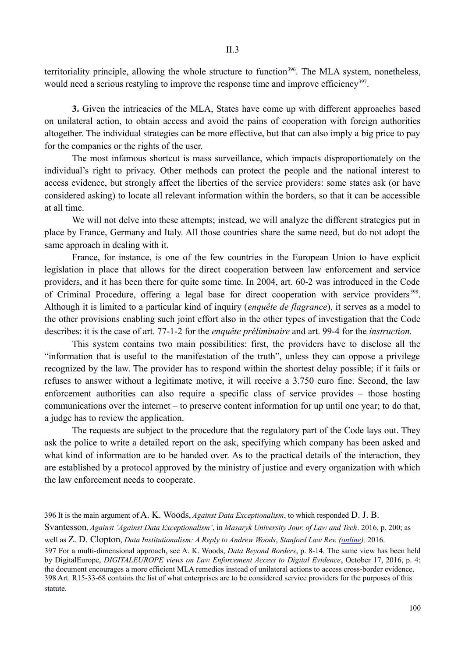territoriality principle, allowing the whole structure to function<sup>396</sup>. The MLA system, nonetheless, would need a serious restyling to improve the response time and improve efficiency<sup>397</sup>.

**3.** Given the intricacies of the MLA, States have come up with different approaches based on unilateral action, to obtain access and avoid the pains of cooperation with foreign authorities altogether. The individual strategies can be more effective, but that can also imply a big price to pay for the companies or the rights of the user.

The most infamous shortcut is mass surveillance, which impacts disproportionately on the individual's right to privacy. Other methods can protect the people and the national interest to access evidence, but strongly affect the liberties of the service providers: some states ask (or have considered asking) to locate all relevant information within the borders, so that it can be accessible at all time.

We will not delve into these attempts; instead, we will analyze the different strategies put in place by France, Germany and Italy. All those countries share the same need, but do not adopt the same approach in dealing with it.

France, for instance, is one of the few countries in the European Union to have explicit legislation in place that allows for the direct cooperation between law enforcement and service providers, and it has been there for quite some time. In 2004, art. 60-2 was introduced in the Code of Criminal Procedure, offering a legal base for direct cooperation with service providers<sup>398</sup>. Although it is limited to a particular kind of inquiry (*enquête de flagrance*), it serves as a model to the other provisions enabling such joint effort also in the other types of investigation that the Code describes: it is the case of art. 77-1-2 for the *enquête préliminaire* and art. 99-4 for the *instruction.*

This system contains two main possibilities: first, the providers have to disclose all the "information that is useful to the manifestation of the truth", unless they can oppose a privilege recognized by the law. The provider has to respond within the shortest delay possible; if it fails or refuses to answer without a legitimate motive, it will receive a 3.750 euro fine. Second, the law enforcement authorities can also require a specific class of service provides – those hosting communications over the internet – to preserve content information for up until one year; to do that, a judge has to review the application.

The requests are subject to the procedure that the regulatory part of the Code lays out. They ask the police to write a detailed report on the ask, specifying which company has been asked and what kind of information are to be handed over. As to the practical details of the interaction, they are established by a protocol approved by the ministry of justice and every organization with which the law enforcement needs to cooperate.

<sup>396</sup> It is the main argument of A. K. Woods, *Against Data Exceptionalism*, to which responded D. J. B. Svantesson, *Against 'Against Data Exceptionalism'*, in *Masaryk University Jour. of Law and Tech*. 2016, p. 200; as well as Z. D. Clopton, *Data Institutionalism: A Reply to Andrew Woods*, *Stanford Law Rev. (online),* 2016. 397 For a multi-dimensional approach, see A. K. Woods, *Data Beyond Borders*, p. 8-14. The same view has been held by DigitalEurope, *DIGITALEUROPE views on Law Enforcement Access to Digital Evidence*, October 17, 2016, p. 4: the document encourages a more efficient MLA remedies instead of unilateral actions to access cross-border evidence. 398 Art. R15-33-68 contains the list of what enterprises are to be considered service providers for the purposes of this statute.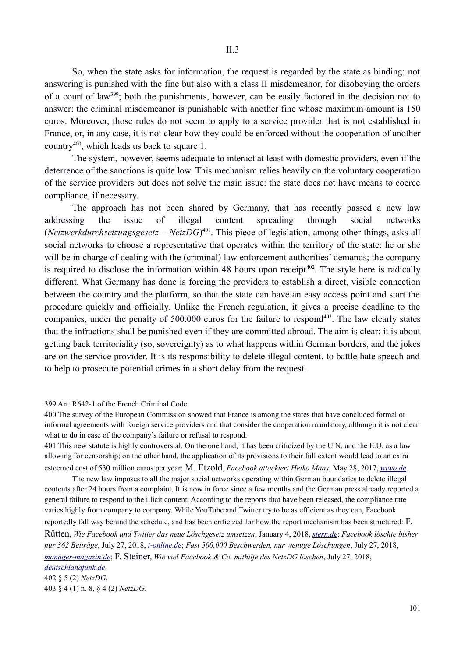So, when the state asks for information, the request is regarded by the state as binding: not answering is punished with the fine but also with a class II misdemeanor, for disobeying the orders of a court of law399; both the punishments, however, can be easily factored in the decision not to answer: the criminal misdemeanor is punishable with another fine whose maximum amount is 150 euros. Moreover, those rules do not seem to apply to a service provider that is not established in France, or, in any case, it is not clear how they could be enforced without the cooperation of another country400, which leads us back to square 1.

The system, however, seems adequate to interact at least with domestic providers, even if the deterrence of the sanctions is quite low. This mechanism relies heavily on the voluntary cooperation of the service providers but does not solve the main issue: the state does not have means to coerce compliance, if necessary.

The approach has not been shared by Germany, that has recently passed a new law addressing the issue of illegal content spreading through social networks (*Netzwerkdurchsetzungsgesetz* – *NetzDG*) 401. This piece of legislation, among other things, asks all social networks to choose a representative that operates within the territory of the state: he or she will be in charge of dealing with the (criminal) law enforcement authorities' demands; the company is required to disclose the information within 48 hours upon receipt<sup> $402$ </sup>. The style here is radically different. What Germany has done is forcing the providers to establish a direct, visible connection between the country and the platform, so that the state can have an easy access point and start the procedure quickly and officially. Unlike the French regulation, it gives a precise deadline to the companies, under the penalty of 500.000 euros for the failure to respond<sup>403</sup>. The law clearly states that the infractions shall be punished even if they are committed abroad. The aim is clear: it is about getting back territoriality (so, sovereignty) as to what happens within German borders, and the jokes are on the service provider. It is its responsibility to delete illegal content, to battle hate speech and to help to prosecute potential crimes in a short delay from the request.

399 Art. R642-1 of the French Criminal Code.

400 The survey of the European Commission showed that France is among the states that have concluded formal or informal agreements with foreign service providers and that consider the cooperation mandatory, although it is not clear what to do in case of the company's failure or refusal to respond.

401 This new statute is highly controversial. On the one hand, it has been criticized by the U.N. and the E.U. as a law allowing for censorship; on the other hand, the application of its provisions to their full extent would lead to an extra esteemed cost of 530 million euros per year: M. Etzold, *Facebook attackiert Heiko Maas*, May 28, 2017, *wiwo.de*.

The new law imposes to all the major social networks operating within German boundaries to delete illegal contents after 24 hours from a complaint. It is now in force since a few months and the German press already reported a general failure to respond to the illicit content. According to the reports that have been released, the compliance rate varies highly from company to company. While YouTube and Twitter try to be as efficient as they can, Facebook reportedly fall way behind the schedule, and has been criticized for how the report mechanism has been structured: F. Rütten, *Wie Facebook und Twitter das neue Löschgesetz umsetzen*, January 4, 2018, *stern.de*; *Facebook löschte bisher nur 362 Beiträge*, July 27, 2018, *t-online.de*; *Fast 500.000 Beschwerden, nur wenuge Löschungen*, July 27, 2018, *manager-magazin.de*; F. Steiner, *Wie viel Facebook & Co. mithilfe des NetzDG löschen*, July 27, 2018, *deutschlandfunk.de*. 402 § 5 (2) *NetzDG.* 403 § 4 (1) n. 8, § 4 (2) *NetzDG.*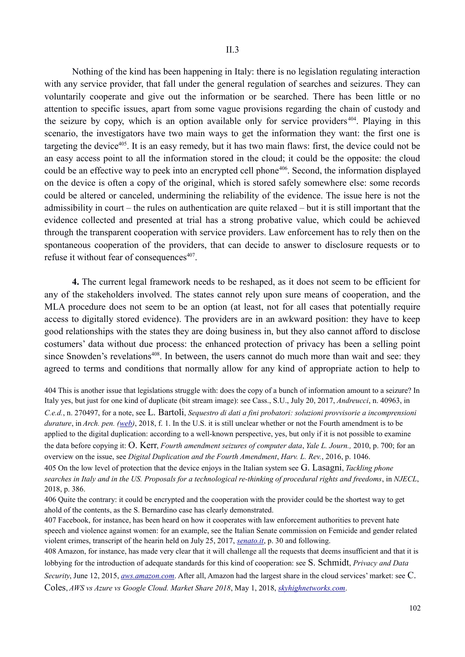Nothing of the kind has been happening in Italy: there is no legislation regulating interaction with any service provider, that fall under the general regulation of searches and seizures. They can voluntarily cooperate and give out the information or be searched. There has been little or no attention to specific issues, apart from some vague provisions regarding the chain of custody and the seizure by copy, which is an option available only for service providers 404. Playing in this scenario, the investigators have two main ways to get the information they want: the first one is targeting the device<sup>405</sup>. It is an easy remedy, but it has two main flaws: first, the device could not be an easy access point to all the information stored in the cloud; it could be the opposite: the cloud could be an effective way to peek into an encrypted cell phone<sup>406</sup>. Second, the information displayed on the device is often a copy of the original, which is stored safely somewhere else: some records could be altered or canceled, undermining the reliability of the evidence. The issue here is not the admissibility in court – the rules on authentication are quite relaxed – but it is still important that the evidence collected and presented at trial has a strong probative value, which could be achieved through the transparent cooperation with service providers. Law enforcement has to rely then on the spontaneous cooperation of the providers, that can decide to answer to disclosure requests or to refuse it without fear of consequences<sup>407</sup>.

**4.** The current legal framework needs to be reshaped, as it does not seem to be efficient for any of the stakeholders involved. The states cannot rely upon sure means of cooperation, and the MLA procedure does not seem to be an option (at least, not for all cases that potentially require access to digitally stored evidence). The providers are in an awkward position: they have to keep good relationships with the states they are doing business in, but they also cannot afford to disclose costumers' data without due process: the enhanced protection of privacy has been a selling point since Snowden's revelations<sup>408</sup>. In between, the users cannot do much more than wait and see: they agreed to terms and conditions that normally allow for any kind of appropriate action to help to

404 This is another issue that legislations struggle with: does the copy of a bunch of information amount to a seizure? In Italy yes, but just for one kind of duplicate (bit stream image): see Cass., S.U., July 20, 2017, *Andreucci*, n. 40963, in *C.e.d.*, n. 270497, for a note, see L. Bartoli, *Sequestro di dati a fini probatori: soluzioni provvisorie a incomprensioni durature*, in *Arch. pen. (web)*, 2018, f. 1. In the U.S. it is still unclear whether or not the Fourth amendment is to be applied to the digital duplication: according to a well-known perspective, yes, but only if it is not possible to examine the data before copying it: O. Kerr, *Fourth amendment seizures of computer data*, *Yale L. Journ.,* 2010, p. 700; for an overview on the issue, see *Digital Duplication and the Fourth Amendment*, *Harv. L. Rev.*, 2016, p. 1046. 405 On the low level of protection that the device enjoys in the Italian system see G. Lasagni, *Tackling phone searches in Italy and in the US. Proposals for a technological re-thinking of procedural rights and freedoms*, in *NJECL*, 2018, p. 386.

406 Quite the contrary: it could be encrypted and the cooperation with the provider could be the shortest way to get ahold of the contents, as the S. Bernardino case has clearly demonstrated.

407 Facebook, for instance, has been heard on how it cooperates with law enforcement authorities to prevent hate speech and violence against women: for an example, see the Italian Senate commission on Femicide and gender related violent crimes, transcript of the hearin held on July 25, 2017, *senato.it*, p. 30 and following.

408 Amazon, for instance, has made very clear that it will challenge all the requests that deems insufficient and that it is lobbying for the introduction of adequate standards for this kind of cooperation: see S. Schmidt, *Privacy and Data Security*, June 12, 2015, *aws.amazon.com*. After all, Amazon had the largest share in the cloud services' market: see C. Coles, *AWS vs Azure vs Google Cloud. Market Share 2018*, May 1, 2018, *skyhighnetworks.com*.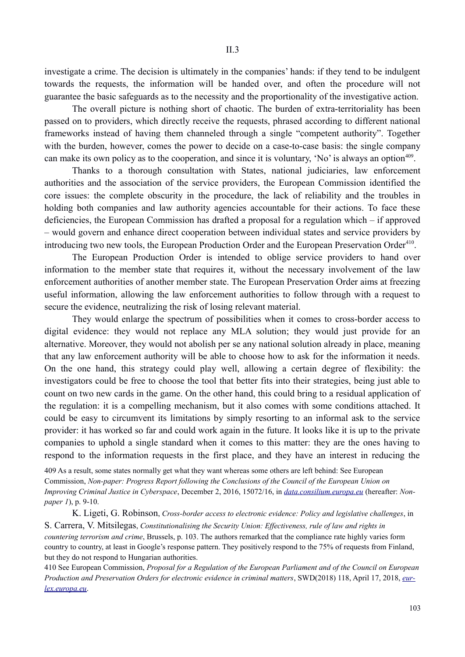investigate a crime. The decision is ultimately in the companies' hands: if they tend to be indulgent towards the requests, the information will be handed over, and often the procedure will not guarantee the basic safeguards as to the necessity and the proportionality of the investigative action.

The overall picture is nothing short of chaotic. The burden of extra-territoriality has been passed on to providers, which directly receive the requests, phrased according to different national frameworks instead of having them channeled through a single "competent authority". Together with the burden, however, comes the power to decide on a case-to-case basis: the single company can make its own policy as to the cooperation, and since it is voluntary, 'No' is always an option<sup>409</sup>.

Thanks to a thorough consultation with States, national judiciaries, law enforcement authorities and the association of the service providers, the European Commission identified the core issues: the complete obscurity in the procedure, the lack of reliability and the troubles in holding both companies and law authority agencies accountable for their actions. To face these deficiencies, the European Commission has drafted a proposal for a regulation which – if approved – would govern and enhance direct cooperation between individual states and service providers by introducing two new tools, the European Production Order and the European Preservation Order<sup>410</sup>.

The European Production Order is intended to oblige service providers to hand over information to the member state that requires it, without the necessary involvement of the law enforcement authorities of another member state. The European Preservation Order aims at freezing useful information, allowing the law enforcement authorities to follow through with a request to secure the evidence, neutralizing the risk of losing relevant material.

They would enlarge the spectrum of possibilities when it comes to cross-border access to digital evidence: they would not replace any MLA solution; they would just provide for an alternative. Moreover, they would not abolish per se any national solution already in place, meaning that any law enforcement authority will be able to choose how to ask for the information it needs. On the one hand, this strategy could play well, allowing a certain degree of flexibility: the investigators could be free to choose the tool that better fits into their strategies, being just able to count on two new cards in the game. On the other hand, this could bring to a residual application of the regulation: it is a compelling mechanism, but it also comes with some conditions attached. It could be easy to circumvent its limitations by simply resorting to an informal ask to the service provider: it has worked so far and could work again in the future. It looks like it is up to the private companies to uphold a single standard when it comes to this matter: they are the ones having to respond to the information requests in the first place, and they have an interest in reducing the

409 As a result, some states normally get what they want whereas some others are left behind: See European Commission, *Non-paper: Progress Report following the Conclusions of the Council of the European Union on Improving Criminal Justice in Cyberspace*, December 2, 2016, 15072/16, in *data.consilium.europa.eu* (hereafter: *Nonpaper 1*), p. 9-10.

K. Ligeti, G. Robinson, *Cross-border access to electronic evidence: Policy and legislative challenges*, in

S. Carrera, V. Mitsilegas, *Constitutionalising the Security Union: Effectiveness, rule of law and rights in countering terrorism and crime*, Brussels, p. 103. The authors remarked that the compliance rate highly varies form country to country, at least in Google's response pattern. They positively respond to the 75% of requests from Finland, but they do not respond to Hungarian authorities.

410 See European Commission, *Proposal for a Regulation of the European Parliament and of the Council on European Production and Preservation Orders for electronic evidence in criminal matters*, SWD(2018) 118, April 17, 2018, *eurlex.europa.eu*.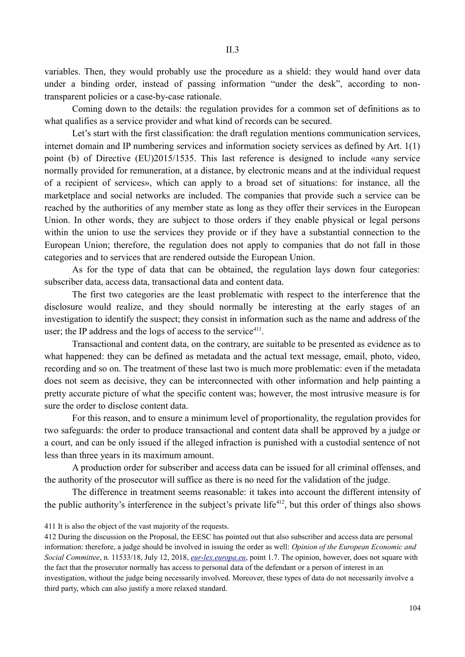variables. Then, they would probably use the procedure as a shield: they would hand over data under a binding order, instead of passing information "under the desk", according to nontransparent policies or a case-by-case rationale.

Coming down to the details: the regulation provides for a common set of definitions as to what qualifies as a service provider and what kind of records can be secured.

Let's start with the first classification: the draft regulation mentions communication services, internet domain and IP numbering services and information society services as defined by Art. 1(1) point (b) of Directive (EU)2015/1535. This last reference is designed to include «any service normally provided for remuneration, at a distance, by electronic means and at the individual request of a recipient of services», which can apply to a broad set of situations: for instance, all the marketplace and social networks are included. The companies that provide such a service can be reached by the authorities of any member state as long as they offer their services in the European Union. In other words, they are subject to those orders if they enable physical or legal persons within the union to use the services they provide or if they have a substantial connection to the European Union; therefore, the regulation does not apply to companies that do not fall in those categories and to services that are rendered outside the European Union.

As for the type of data that can be obtained, the regulation lays down four categories: subscriber data, access data, transactional data and content data.

The first two categories are the least problematic with respect to the interference that the disclosure would realize, and they should normally be interesting at the early stages of an investigation to identify the suspect; they consist in information such as the name and address of the user; the IP address and the logs of access to the service<sup>411</sup>.

Transactional and content data, on the contrary, are suitable to be presented as evidence as to what happened: they can be defined as metadata and the actual text message, email, photo, video, recording and so on. The treatment of these last two is much more problematic: even if the metadata does not seem as decisive, they can be interconnected with other information and help painting a pretty accurate picture of what the specific content was; however, the most intrusive measure is for sure the order to disclose content data.

For this reason, and to ensure a minimum level of proportionality, the regulation provides for two safeguards: the order to produce transactional and content data shall be approved by a judge or a court, and can be only issued if the alleged infraction is punished with a custodial sentence of not less than three years in its maximum amount.

A production order for subscriber and access data can be issued for all criminal offenses, and the authority of the prosecutor will suffice as there is no need for the validation of the judge.

The difference in treatment seems reasonable: it takes into account the different intensity of the public authority's interference in the subject's private life<sup> $412$ </sup>, but this order of things also shows

411 It is also the object of the vast majority of the requests.

412 During the discussion on the Proposal, the EESC has pointed out that also subscriber and access data are personal information: therefore, a judge should be involved in issuing the order as well: *Opinion of the European Economic and Social Committee*, n. 11533/18, July 12, 2018, *eur-lex.europa.eu*, point 1.7. The opinion, however, does not square with the fact that the prosecutor normally has access to personal data of the defendant or a person of interest in an investigation, without the judge being necessarily involved. Moreover, these types of data do not necessarily involve a third party, which can also justify a more relaxed standard.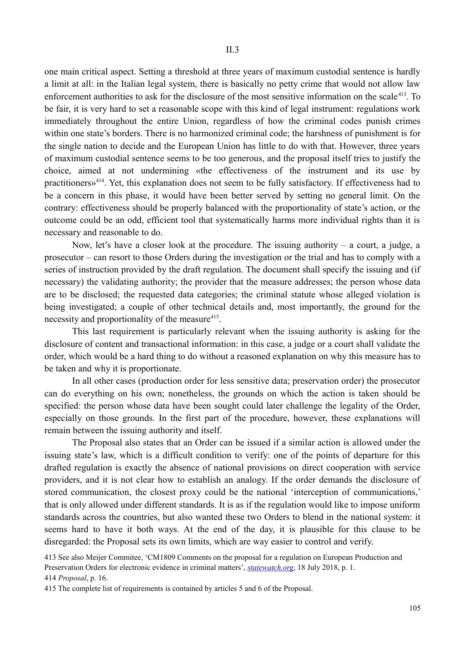one main critical aspect. Setting a threshold at three years of maximum custodial sentence is hardly a limit at all: in the Italian legal system, there is basically no petty crime that would not allow law enforcement authorities to ask for the disclosure of the most sensitive information on the scale<sup>413</sup>. To be fair, it is very hard to set a reasonable scope with this kind of legal instrument: regulations work immediately throughout the entire Union, regardless of how the criminal codes punish crimes within one state's borders. There is no harmonized criminal code; the harshness of punishment is for the single nation to decide and the European Union has little to do with that. However, three years of maximum custodial sentence seems to be too generous, and the proposal itself tries to justify the choice, aimed at not undermining «the effectiveness of the instrument and its use by practitioners»414. Yet, this explanation does not seem to be fully satisfactory. If effectiveness had to be a concern in this phase, it would have been better served by setting no general limit. On the contrary: effectiveness should be properly balanced with the proportionality of state's action, or the outcome could be an odd, efficient tool that systematically harms more individual rights than it is necessary and reasonable to do.

Now, let's have a closer look at the procedure. The issuing authority – a court, a judge, a prosecutor – can resort to those Orders during the investigation or the trial and has to comply with a series of instruction provided by the draft regulation. The document shall specify the issuing and (if necessary) the validating authority; the provider that the measure addresses; the person whose data are to be disclosed; the requested data categories; the criminal statute whose alleged violation is being investigated; a couple of other technical details and, most importantly, the ground for the necessity and proportionality of the measure<sup>415</sup>.

This last requirement is particularly relevant when the issuing authority is asking for the disclosure of content and transactional information: in this case, a judge or a court shall validate the order, which would be a hard thing to do without a reasoned explanation on why this measure has to be taken and why it is proportionate.

In all other cases (production order for less sensitive data; preservation order) the prosecutor can do everything on his own; nonetheless, the grounds on which the action is taken should be specified: the person whose data have been sought could later challenge the legality of the Order, especially on those grounds. In the first part of the procedure, however, these explanations will remain between the issuing authority and itself.

The Proposal also states that an Order can be issued if a similar action is allowed under the issuing state's law, which is a difficult condition to verify: one of the points of departure for this drafted regulation is exactly the absence of national provisions on direct cooperation with service providers, and it is not clear how to establish an analogy. If the order demands the disclosure of stored communication, the closest proxy could be the national 'interception of communications,' that is only allowed under different standards. It is as if the regulation would like to impose uniform standards across the countries, but also wanted these two Orders to blend in the national system: it seems hard to have it both ways. At the end of the day, it is plausible for this clause to be disregarded: the Proposal sets its own limits, which are way easier to control and verify.

413 See also Meijer Commitee, 'CM1809 Comments on the proposal for a regulation on European Production and Preservation Orders for electronic evidence in criminal matters', *statewatch.org*, 18 July 2018, p. 1. 414 *Proposal*, p. 16.

415 The complete list of requirements is contained by articles 5 and 6 of the Proposal.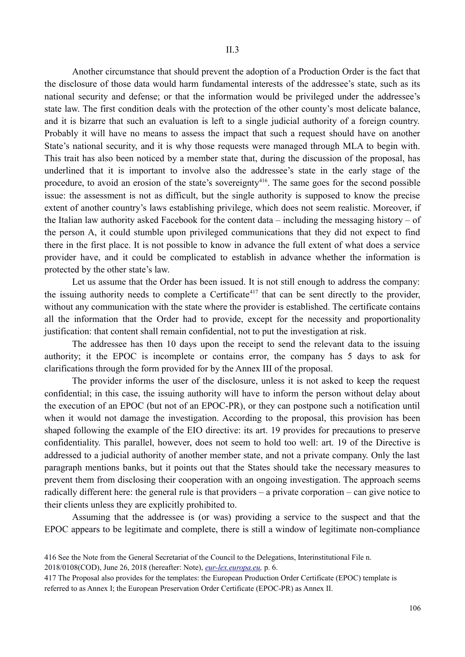Another circumstance that should prevent the adoption of a Production Order is the fact that the disclosure of those data would harm fundamental interests of the addressee's state, such as its national security and defense; or that the information would be privileged under the addressee's state law. The first condition deals with the protection of the other county's most delicate balance, and it is bizarre that such an evaluation is left to a single judicial authority of a foreign country. Probably it will have no means to assess the impact that such a request should have on another State's national security, and it is why those requests were managed through MLA to begin with. This trait has also been noticed by a member state that, during the discussion of the proposal, has underlined that it is important to involve also the addressee's state in the early stage of the procedure, to avoid an erosion of the state's sovereignty<sup>416</sup>. The same goes for the second possible issue: the assessment is not as difficult, but the single authority is supposed to know the precise extent of another country's laws establishing privilege, which does not seem realistic. Moreover, if the Italian law authority asked Facebook for the content data – including the messaging history – of the person A, it could stumble upon privileged communications that they did not expect to find there in the first place. It is not possible to know in advance the full extent of what does a service provider have, and it could be complicated to establish in advance whether the information is protected by the other state's law.

Let us assume that the Order has been issued. It is not still enough to address the company: the issuing authority needs to complete a Certificate<sup>417</sup> that can be sent directly to the provider, without any communication with the state where the provider is established. The certificate contains all the information that the Order had to provide, except for the necessity and proportionality justification: that content shall remain confidential, not to put the investigation at risk.

The addressee has then 10 days upon the receipt to send the relevant data to the issuing authority; it the EPOC is incomplete or contains error, the company has 5 days to ask for clarifications through the form provided for by the Annex III of the proposal.

The provider informs the user of the disclosure, unless it is not asked to keep the request confidential; in this case, the issuing authority will have to inform the person without delay about the execution of an EPOC (but not of an EPOC-PR), or they can postpone such a notification until when it would not damage the investigation. According to the proposal, this provision has been shaped following the example of the EIO directive: its art. 19 provides for precautions to preserve confidentiality. This parallel, however, does not seem to hold too well: art. 19 of the Directive is addressed to a judicial authority of another member state, and not a private company. Only the last paragraph mentions banks, but it points out that the States should take the necessary measures to prevent them from disclosing their cooperation with an ongoing investigation. The approach seems radically different here: the general rule is that providers – a private corporation – can give notice to their clients unless they are explicitly prohibited to.

Assuming that the addressee is (or was) providing a service to the suspect and that the EPOC appears to be legitimate and complete, there is still a window of legitimate non-compliance

2018/0108(COD), June 26, 2018 (hereafter: Note), *eur-lex.europa.eu,* p. 6.

417 The Proposal also provides for the templates: the European Production Order Certificate (EPOC) template is referred to as Annex I; the European Preservation Order Certificate (EPOC-PR) as Annex II.

<sup>416</sup> See the Note from the General Secretariat of the Council to the Delegations, Interinstitutional File n.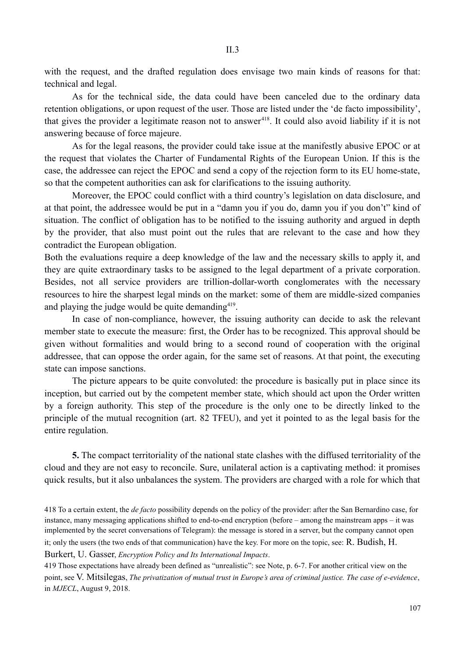with the request, and the drafted regulation does envisage two main kinds of reasons for that: technical and legal.

As for the technical side, the data could have been canceled due to the ordinary data retention obligations, or upon request of the user. Those are listed under the 'de facto impossibility', that gives the provider a legitimate reason not to answer<sup>418</sup>. It could also avoid liability if it is not answering because of force majeure.

As for the legal reasons, the provider could take issue at the manifestly abusive EPOC or at the request that violates the Charter of Fundamental Rights of the European Union. If this is the case, the addressee can reject the EPOC and send a copy of the rejection form to its EU home-state, so that the competent authorities can ask for clarifications to the issuing authority.

Moreover, the EPOC could conflict with a third country's legislation on data disclosure, and at that point, the addressee would be put in a "damn you if you do, damn you if you don't" kind of situation. The conflict of obligation has to be notified to the issuing authority and argued in depth by the provider, that also must point out the rules that are relevant to the case and how they contradict the European obligation.

Both the evaluations require a deep knowledge of the law and the necessary skills to apply it, and they are quite extraordinary tasks to be assigned to the legal department of a private corporation. Besides, not all service providers are trillion-dollar-worth conglomerates with the necessary resources to hire the sharpest legal minds on the market: some of them are middle-sized companies and playing the judge would be quite demanding<sup>419</sup>.

In case of non-compliance, however, the issuing authority can decide to ask the relevant member state to execute the measure: first, the Order has to be recognized. This approval should be given without formalities and would bring to a second round of cooperation with the original addressee, that can oppose the order again, for the same set of reasons. At that point, the executing state can impose sanctions.

The picture appears to be quite convoluted: the procedure is basically put in place since its inception, but carried out by the competent member state, which should act upon the Order written by a foreign authority. This step of the procedure is the only one to be directly linked to the principle of the mutual recognition (art. 82 TFEU), and yet it pointed to as the legal basis for the entire regulation.

**5.** The compact territoriality of the national state clashes with the diffused territoriality of the cloud and they are not easy to reconcile. Sure, unilateral action is a captivating method: it promises quick results, but it also unbalances the system. The providers are charged with a role for which that

418 To a certain extent, the *de facto* possibility depends on the policy of the provider: after the San Bernardino case, for instance, many messaging applications shifted to end-to-end encryption (before – among the mainstream apps – it was implemented by the secret conversations of Telegram): the message is stored in a server, but the company cannot open it; only the users (the two ends of that communication) have the key. For more on the topic, see: R. Budish, H.

Burkert, U. Gasser, *Encryption Policy and Its International Impacts*.

419 Those expectations have already been defined as "unrealistic": see Note, p. 6-7. For another critical view on the point, see V. Mitsilegas, *The privatization of mutual trust in Europe's area of criminal justice. The case of e-evidence*, in *MJECL*, August 9, 2018.